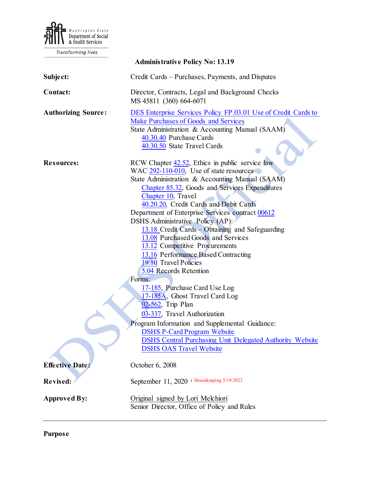

Transforming lives

| <b>Administrative Policy No: 13.19</b> |                                                                                                                                                                                                                                                                                                                                                                                                                                                                                                                                                                                                                                                                                                                                                                                                                                                                                                             |
|----------------------------------------|-------------------------------------------------------------------------------------------------------------------------------------------------------------------------------------------------------------------------------------------------------------------------------------------------------------------------------------------------------------------------------------------------------------------------------------------------------------------------------------------------------------------------------------------------------------------------------------------------------------------------------------------------------------------------------------------------------------------------------------------------------------------------------------------------------------------------------------------------------------------------------------------------------------|
| Subject:                               | Credit Cards – Purchases, Payments, and Disputes                                                                                                                                                                                                                                                                                                                                                                                                                                                                                                                                                                                                                                                                                                                                                                                                                                                            |
| Contact:                               | Director, Contracts, Legal and Background Checks<br>MS 45811 (360) 664-6071                                                                                                                                                                                                                                                                                                                                                                                                                                                                                                                                                                                                                                                                                                                                                                                                                                 |
| <b>Authorizing Source:</b>             | DES Enterprise Services Policy FP.03.01 Use of Credit Cards to<br>Make Purchases of Goods and Services<br>State Administration & Accounting Manual (SAAM)<br>40.30.40 Purchase Cards<br>40.30.50 State Travel Cards                                                                                                                                                                                                                                                                                                                                                                                                                                                                                                                                                                                                                                                                                         |
| <b>Resources:</b>                      | RCW Chapter 42.52, Ethics in public service law<br>WAC 292-110-010, Use of state resources<br>State Administration & Accounting Manual (SAAM)<br>Chapter 85.32, Goods and Services Expenditures<br>Chapter 10, Travel<br>40.20.20, Credit Cards and Debit Cards<br>Department of Enterprise Services contract 00612<br>DSHS Administrative Policy (AP):<br>13.18 Credit Cards - Obtaining and Safeguarding<br>13.08 Purchased Goods and Services<br>13.12 Competitive Procurements<br>13.16 Performance Based Contracting<br>19.10 Travel Policies<br>5.04 Records Retention<br>Forms:<br>17-185, Purchase Card Use Log<br>17-185A, Ghost Travel Card Log<br>02-562, Trip Plan<br>03-337, Travel Authorization<br>Program Information and Supplemental Guidance:<br><b>DSHS P-Card Program Website</b><br><b>DSHS Central Purchasing Unit Delegated Authority Website</b><br><b>DSHS OAS Travel Website</b> |
| <b>Effective Date:</b>                 | October 6, 2008                                                                                                                                                                                                                                                                                                                                                                                                                                                                                                                                                                                                                                                                                                                                                                                                                                                                                             |
| Revised:                               | September 11, 2020 i Housekeeping 5/19/2022                                                                                                                                                                                                                                                                                                                                                                                                                                                                                                                                                                                                                                                                                                                                                                                                                                                                 |
| <b>Approved By:</b>                    | Original signed by Lori Melchiori<br>Senior Director, Office of Policy and Rules                                                                                                                                                                                                                                                                                                                                                                                                                                                                                                                                                                                                                                                                                                                                                                                                                            |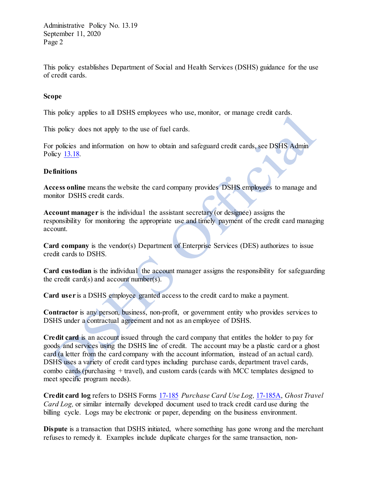Administrative Policy No. 13.19 September 11, 2020 Page 2

This policy establishes Department of Social and Health Services (DSHS) guidance for the use of credit cards.

### **Scope**

This policy applies to all DSHS employees who use, monitor, or manage credit cards.

This policy does not apply to the use of fuel cards.

For policies and information on how to obtain and safeguard credit cards, see DSHS Admin Policy [13.18.](http://one.dshs.wa.lcl/Policies/Administrative/DSHS-AP-13-18.pdf)

#### **Definitions**

**Access online** means the website the card company provides DSHS employees to manage and monitor DSHS credit cards.

**Account manager** is the individual the assistant secretary (or designee) assigns the responsibility for monitoring the appropriate use and timely payment of the credit card managing account.

**Card company** is the vendor(s) Department of Enterprise Services (DES) authorizes to issue credit cards to DSHS.

**Card custodian** is the individual the account manager assigns the responsibility for safeguarding the credit card(s) and account number(s).

**Card user** is a DSHS employee granted access to the credit card to make a payment.

**Contractor** is any person, business, non-profit, or government entity who provides services to DSHS under a contractual agreement and not as an employee of DSHS.

**Credit card** is an account issued through the card company that entitles the holder to pay for goods and services using the DSHS line of credit. The account may be a plastic card or a ghost card (a letter from the card company with the account information, instead of an actual card). DSHS uses a variety of credit card types including purchase cards, department travel cards, combo cards (purchasing + travel), and custom cards (cards with MCC templates designed to meet specific program needs).

**Credit card log** refers to DSHS Forms [17-185](http://forms.dshs.wa.lcl/formDetails.aspx?ID=9161) *Purchase Card Use Log,* [17-185A,](http://forms.dshs.wa.lcl/formDetails.aspx?ID=31029) *Ghost Travel Card Log,* or similar internally developed document used to track credit card use during the billing cycle. Logs may be electronic or paper, depending on the business environment.

**Dispute** is a transaction that DSHS initiated, where something has gone wrong and the merchant refuses to remedy it. Examples include duplicate charges for the same transaction, non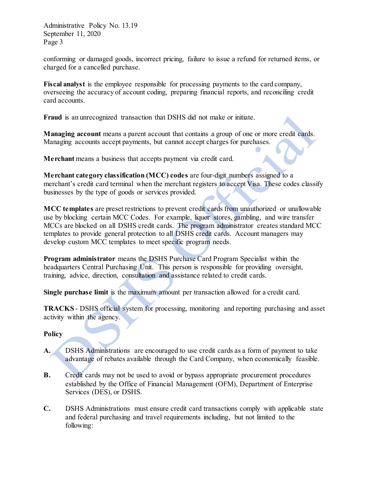Administrative Policy No. 13.19 September 11, 2020 Page 3

conforming or damaged goods, incorrect pricing, failure to issue a refund for returned items, or charged for a cancelled purchase.

Fiscal analyst is the employee responsible for processing payments to the card company, overseeing the accuracy of account coding, preparing financial reports, and reconciling credit card accounts.

**Fraud** is an unrecognized transaction that DSHS did not make or initiate.

**Managing account** means a parent account that contains a group of one or more credit cards. Managing accounts accept payments, but cannot accept charges for purchases.

**Merchant** means a business that accepts payment via credit card.

**Merchant category classification (MCC) codes** are four-digit numbers assigned to a merchant's credit card terminal when the merchant registers to accept Visa. These codes classify businesses by the type of goods or services provided.

**MCC templates** are preset restrictions to prevent credit cards from unauthorized or unallowable use by blocking certain MCC Codes. For example, liquor stores, gambling, and wire transfer MCCs are blocked on all DSHS credit cards. The program administrator creates standard MCC templates to provide general protection to all DSHS credit cards. Account managers may develop custom MCC templates to meet specific program needs.

**Program administrator** means the DSHS Purchase Card Program Specialist within the headquarters Central Purchasing Unit. This person is responsible for providing oversight, training, advice, direction, consultation and assistance related to credit cards.

**Single purchase limit** is the maximum amount per transaction allowed for a credit card.

**TRACKS** - DSHS official system for processing, monitoring and reporting purchasing and asset activity within the agency.

#### **Policy**

- **A.** DSHS Administrations are encouraged to use credit cards as a form of payment to take advantage of rebates available through the Card Company, when economically feasible.
- **B.** Credit cards may not be used to avoid or bypass appropriate procurement procedures established by the Office of Financial Management (OFM), Department of Enterprise Services (DES), or DSHS.
- **C.** DSHS Administrations must ensure credit card transactions comply with applicable state and federal purchasing and travel requirements including, but not limited to the following: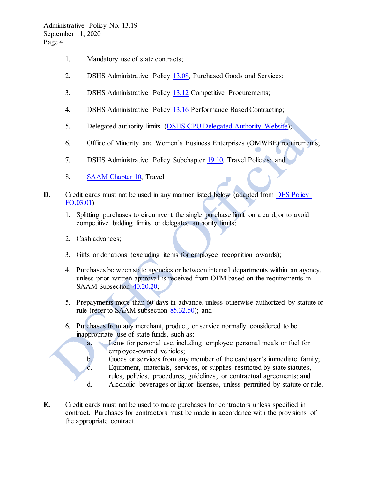- 1. Mandatory use of state contracts;
- 2. DSHS Administrative Policy [13.08,](http://one.dshs.wa.lcl/Policies/Administrative/DSHS-AP-13-08.pdf) Purchased Goods and Services;
- 3. DSHS Administrative Policy [13.12](http://one.dshs.wa.lcl/Policies/Administrative/DSHS-AP-13-12.pdf) Competitive Procurements;
- 4. DSHS Administrative Policy [13.16](http://one.dshs.wa.lcl/Policies/Administrative/DSHS-AP-13-16.pdf) Performance Based Contracting;
- 5. Delegated authority limits [\(DSHS CPU Delegated Authority Website\)](http://one.dshs.wa.lcl/FS/OSS/CPU/Purchasing/Pages/DelegationMatrix.aspx);
- 6. Office of Minority and Women's Business Enterprises (OMWBE) requirements;
- 7. DSHS Administrative Policy Subchapter [19.10,](http://one.dshs.wa.lcl/policies/Pages/default.aspx) Travel Policies; and
- 8. [SAAM Chapter 10,](http://www.ofm.wa.gov/policy/10.htm) Travel
- **D.** Credit cards must not be used in any manner listed below (adapted from DES Policy [FO.03.01\)](https://des.wa.gov/sites/default/files/public/documents/Finance/StatewideCardPolicy.pdf)
	- 1. Splitting purchases to circumvent the single purchase limit on a card, or to avoid competitive bidding limits or delegated authority limits;
	- 2. Cash advances;
	- 3. Gifts or donations (excluding items for employee recognition awards);
	- 4. Purchases between state agencies or between internal departments within an agency, unless prior written approval is received from OFM based on the requirements in SAA[M Subsection 40.20.20;](http://www.ofm.wa.gov/policy/40.40.htm#40.40.10)
	- 5. Prepayments more than 60 days in advance, unless otherwise authorized by statute or rule (refer to SAAM subsection [85.32.50\)](https://www.ofm.wa.gov/sites/default/files/public/legacy/policy/85.32.htm#85.32.50); and
	- 6. Purchases from any merchant, product, or service normally considered to be inappropriate use of state funds, such as:
		- a. Items for personal use, including employee personal meals or fuel for employee-owned vehicles;
		- b. Goods or services from any member of the card user's immediate family; c. Equipment, materials, services, or supplies restricted by state statutes,
		- rules, policies, procedures, guidelines, or contractual agreements; and
		- d. Alcoholic beverages or liquor licenses, unless permitted by statute or rule.
- **E.** Credit cards must not be used to make purchases for contractors unless specified in contract. Purchases for contractors must be made in accordance with the provisions of the appropriate contract.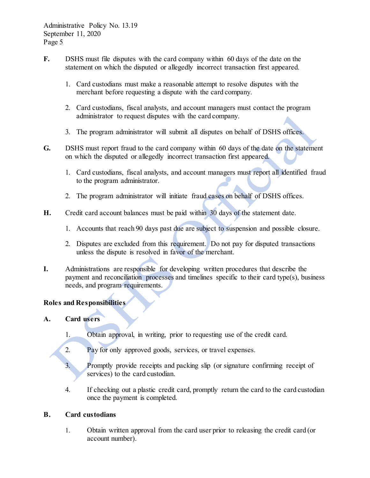- **F.** DSHS must file disputes with the card company within 60 days of the date on the statement on which the disputed or allegedly incorrect transaction first appeared.
	- 1. Card custodians must make a reasonable attempt to resolve disputes with the merchant before requesting a dispute with the card company.
	- 2. Card custodians, fiscal analysts, and account managers must contact the program administrator to request disputes with the card company.
	- 3. The program administrator will submit all disputes on behalf of DSHS offices.
- **G.** DSHS must report fraud to the card company within 60 days of the date on the statement on which the disputed or allegedly incorrect transaction first appeared.
	- 1. Card custodians, fiscal analysts, and account managers must report all identified fraud to the program administrator.
	- 2. The program administrator will initiate fraud cases on behalf of DSHS offices.
- **H.** Credit card account balances must be paid within 30 days of the statement date.
	- 1. Accounts that reach 90 days past due are subject to suspension and possible closure.
	- 2. Disputes are excluded from this requirement. Do not pay for disputed transactions unless the dispute is resolved in favor of the merchant.
- **I.** Administrations are responsible for developing written procedures that describe the payment and reconciliation processes and timelines specific to their card type(s), business needs, and program requirements.

# **Roles and Responsibilities**

# **A. Card users**

- 1. Obtain approval, in writing, prior to requesting use of the credit card.
- 2. Pay for only approved goods, services, or travel expenses.
- 3. Promptly provide receipts and packing slip (or signature confirming receipt of services) to the card custodian.
- 4. If checking out a plastic credit card, promptly return the card to the card custodian once the payment is completed.

#### **B. Card custodians**

1. Obtain written approval from the card user prior to releasing the credit card (or account number).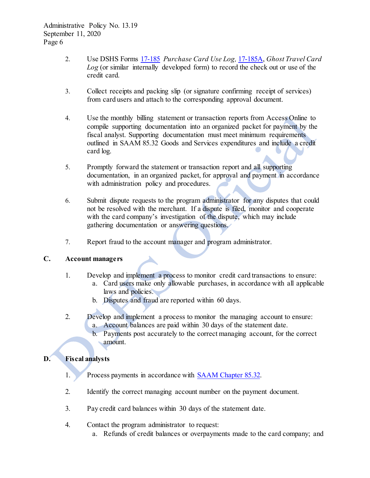- 2. Use DSHS Forms [17-185](http://forms.dshs.wa.lcl/formDetails.aspx?ID=9161) *Purchase Card Use Log,* [17-185A,](http://forms.dshs.wa.lcl/formDetails.aspx?ID=31029) *Ghost Travel Card Log* (or similar internally developed form) to record the check out or use of the credit card.
- 3. Collect receipts and packing slip (or signature confirming receipt of services) from card users and attach to the corresponding approval document.
- 4. Use the monthly billing statement or transaction reports from Access Online to compile supporting documentation into an organized packet for payment by the fiscal analyst. Supporting documentation must meet minimum requirements outlined in SAAM 85.32 Goods and Services expenditures and include a credit card log.
- 5. Promptly forward the statement or transaction report and all supporting documentation, in an organized packet, for approval and payment in accordance with administration policy and procedures.
- 6. Submit dispute requests to the program administrator for any disputes that could not be resolved with the merchant. If a dispute is filed, monitor and cooperate with the card company's investigation of the dispute, which may include gathering documentation or answering questions.
- 7. Report fraud to the account manager and program administrator.

# **C. Account managers**

- 1. Develop and implement a process to monitor credit card transactions to ensure:
	- a. Card users make only allowable purchases, in accordance with all applicable laws and policies.
		- b. Disputes and fraud are reported within 60 days.
- 2. Develop and implement a process to monitor the managing account to ensure: a. Account balances are paid within 30 days of the statement date.
	- b. Payments post accurately to the correct managing account, for the correct amount.

# **D. Fiscal analysts**

- 1. Process payments in accordance with [SAAM Chapter 85.32.](http://www.ofm.wa.gov/policy/85.32.htm)
- 2. Identify the correct managing account number on the payment document.
- 3. Pay credit card balances within 30 days of the statement date.
- 4. Contact the program administrator to request:
	- a. Refunds of credit balances or overpayments made to the card company; and